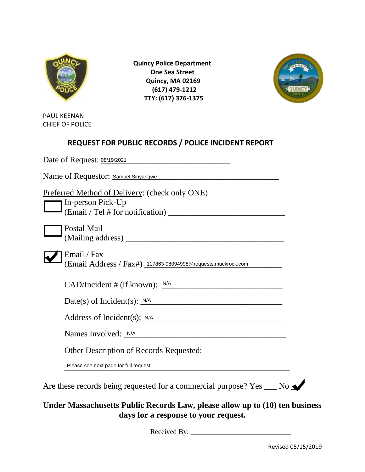

 **Quincy Police Department One Sea Street Quincy, MA 02169 (617) 479-1212 TTY: (617) 376-1375**



PAUL KEENAN CHIEF OF POLICE

## **REQUEST FOR PUBLIC RECORDS / POLICE INCIDENT REPORT**

| Preferred Method of Delivery: (check only ONE)<br>In-person Pick-Up |
|---------------------------------------------------------------------|
|                                                                     |
| Postal Mail                                                         |
|                                                                     |
| Email / Fax                                                         |
| (Email Address / Fax#) 117863-08094998@requests.muckrock.com        |
|                                                                     |
| $CAD/Incident \# (if known): \frac{N/A}{I}$                         |
| Date(s) of Incident(s): $N/A$                                       |
| Address of Incident(s): N/A                                         |
|                                                                     |
| Names Involved: <u>N/A</u>                                          |
|                                                                     |
| Please see next page for full request.                              |
|                                                                     |

## **Under Massachusetts Public Records Law, please allow up to (10) ten business days for a response to your request.**

Received By: \_\_\_\_\_\_\_\_\_\_\_\_\_\_\_\_\_\_\_\_\_\_\_\_\_\_\_\_